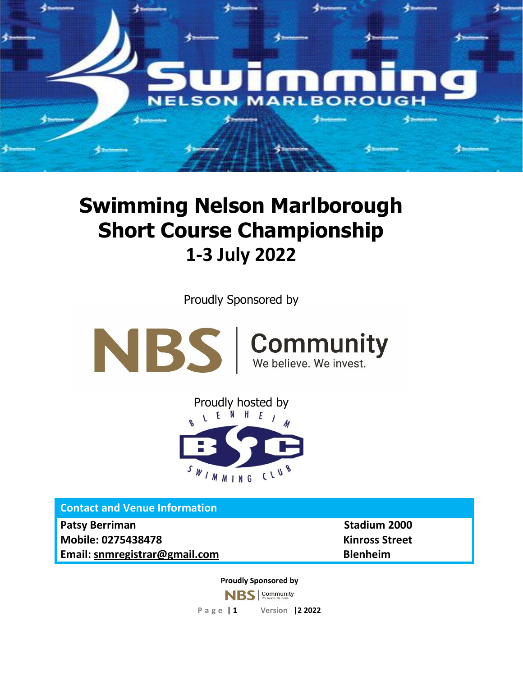

# **Swimming Nelson Marlborough Short Course Championship 1-3 July 2022**

Proudly Sponsored by





**Contact and Venue Information** 

**Patsy Berriman Stadium 2000 Mobile: 0275438478 Kinross Street Email: [snmregistrar@gmail.com](mailto:snmregistrar@gmail.com) Blenheim** 

**Proudly Sponsored by**

**NBS** Community

**P a g e | 1 Version |2 2022**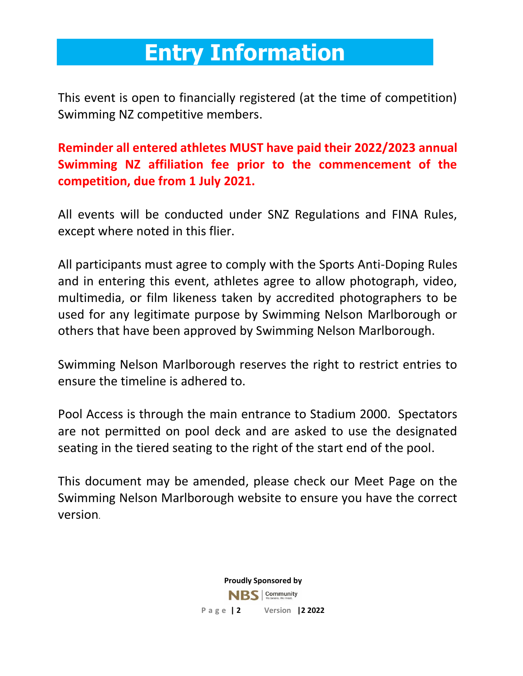# **Entry Information**

This event is open to financially registered (at the time of competition) Swimming NZ competitive members.

**Reminder all entered athletes MUST have paid their 2022/2023 annual Swimming NZ affiliation fee prior to the commencement of the competition, due from 1 July 2021.**

All events will be conducted under SNZ Regulations and FINA Rules, except where noted in this flier.

All participants must agree to comply with the Sports Anti-Doping Rules and in entering this event, athletes agree to allow photograph, video, multimedia, or film likeness taken by accredited photographers to be used for any legitimate purpose by Swimming Nelson Marlborough or others that have been approved by Swimming Nelson Marlborough.

Swimming Nelson Marlborough reserves the right to restrict entries to ensure the timeline is adhered to.

Pool Access is through the main entrance to Stadium 2000. Spectators are not permitted on pool deck and are asked to use the designated seating in the tiered seating to the right of the start end of the pool.

This document may be amended, please check our Meet Page on the Swimming Nelson Marlborough website to ensure you have the correct version.

> **Proudly Sponsored by** NBS Community **P a g e | 2 Version |2 2022**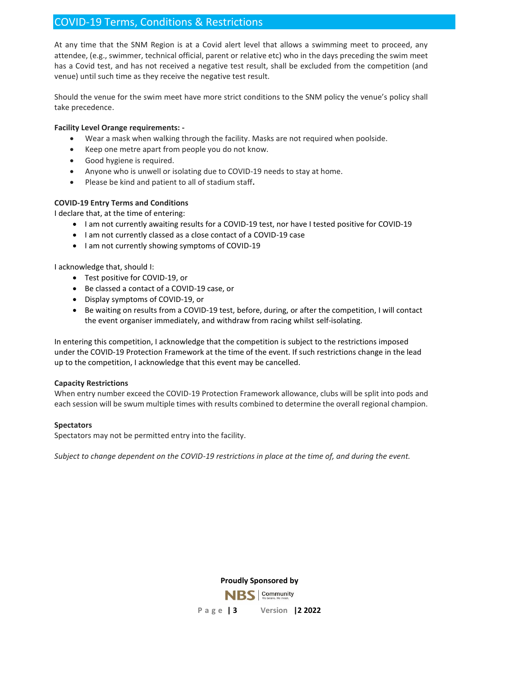# COVID-19 Terms, Conditions & Restrictions

At any time that the SNM Region is at a Covid alert level that allows a swimming meet to proceed, any attendee, (e.g., swimmer, technical official, parent or relative etc) who in the days preceding the swim meet has a Covid test, and has not received a negative test result, shall be excluded from the competition (and venue) until such time as they receive the negative test result.

Should the venue for the swim meet have more strict conditions to the SNM policy the venue's policy shall take precedence.

#### **Facility Level Orange requirements: -**

- Wear a mask when walking through the facility. Masks are not required when poolside.
- Keep one metre apart from people you do not know.
- Good hygiene is required.
- Anyone who is unwell or isolating due to COVID-19 needs to stay at home.
- Please be kind and patient to all of stadium staff**.**

#### **COVID-19 Entry Terms and Conditions**

I declare that, at the time of entering:

- I am not currently awaiting results for a COVID-19 test, nor have I tested positive for COVID-19
- I am not currently classed as a close contact of a COVID-19 case
- I am not currently showing symptoms of COVID-19

I acknowledge that, should I:

- Test positive for COVID-19, or
- Be classed a contact of a COVID-19 case, or
- Display symptoms of COVID-19, or
- Be waiting on results from a COVID-19 test, before, during, or after the competition, I will contact the event organiser immediately, and withdraw from racing whilst self-isolating.

In entering this competition, I acknowledge that the competition is subject to the restrictions imposed under the COVID-19 Protection Framework at the time of the event. If such restrictions change in the lead up to the competition, I acknowledge that this event may be cancelled.

#### **Capacity Restrictions**

When entry number exceed the COVID-19 Protection Framework allowance, clubs will be split into pods and each session will be swum multiple times with results combined to determine the overall regional champion.

#### **Spectators**

Spectators may not be permitted entry into the facility.

*Subject to change dependent on the COVID-19 restrictions in place at the time of, and during the event.*

**Proudly Sponsored by**

Community

**P a g e | 3 Version |2 2022**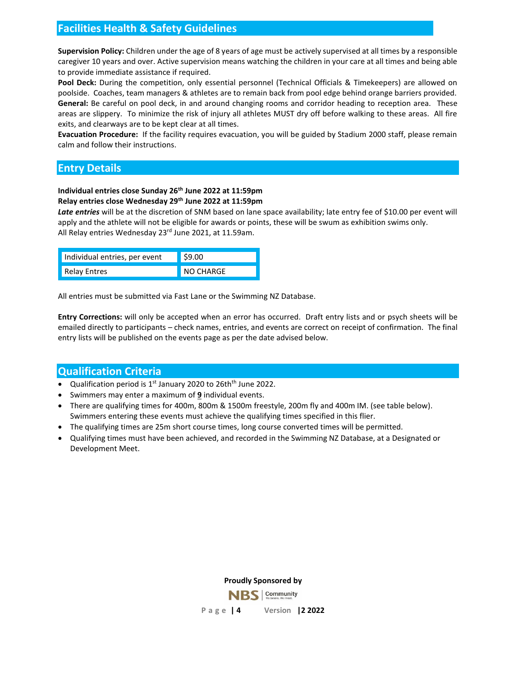## **Facilities Health & Safety Guidelines**

**Supervision Policy:** Children under the age of 8 years of age must be actively supervised at all times by a responsible caregiver 10 years and over. Active supervision means watching the children in your care at all times and being able to provide immediate assistance if required.

**Pool Deck:** During the competition, only essential personnel (Technical Officials & Timekeepers) are allowed on poolside. Coaches, team managers & athletes are to remain back from pool edge behind orange barriers provided. **General:** Be careful on pool deck, in and around changing rooms and corridor heading to reception area. These areas are slippery. To minimize the risk of injury all athletes MUST dry off before walking to these areas. All fire exits, and clearways are to be kept clear at all times.

**Evacuation Procedure:** If the facility requires evacuation, you will be guided by Stadium 2000 staff, please remain calm and follow their instructions.

## **Entry Details**

## **Individual entries close Sunday 26th June 2022 at 11:59pm**

#### **Relay entries close Wednesday 29th June 2022 at 11:59pm**

*Late entries* will be at the discretion of SNM based on lane space availability; late entry fee of \$10.00 per event will apply and the athlete will not be eligible for awards or points, these will be swum as exhibition swims only. All Relay entries Wednesday 23<sup>rd</sup> June 2021, at 11.59am.

| Individual entries, per event | $ $ \$9.00 |
|-------------------------------|------------|
| <b>Relay Entres</b>           | NO CHARGE  |

All entries must be submitted via Fast Lane or the Swimming NZ Database.

**Entry Corrections:** will only be accepted when an error has occurred. Draft entry lists and or psych sheets will be emailed directly to participants – check names, entries, and events are correct on receipt of confirmation. The final entry lists will be published on the events page as per the date advised below.

## **Qualification Criteria**

- Qualification period is 1<sup>st</sup> January 2020 to 26th<sup>th</sup> June 2022.
- Swimmers may enter a maximum of **9** individual events.
- There are qualifying times for 400m, 800m & 1500m freestyle, 200m fly and 400m IM. (see table below). Swimmers entering these events must achieve the qualifying times specified in this flier.
- The qualifying times are 25m short course times, long course converted times will be permitted.
- Qualifying times must have been achieved, and recorded in the Swimming NZ Database, at a Designated or Development Meet.

**Proudly Sponsored by**

Community

**P a g e | 4 Version |2 2022**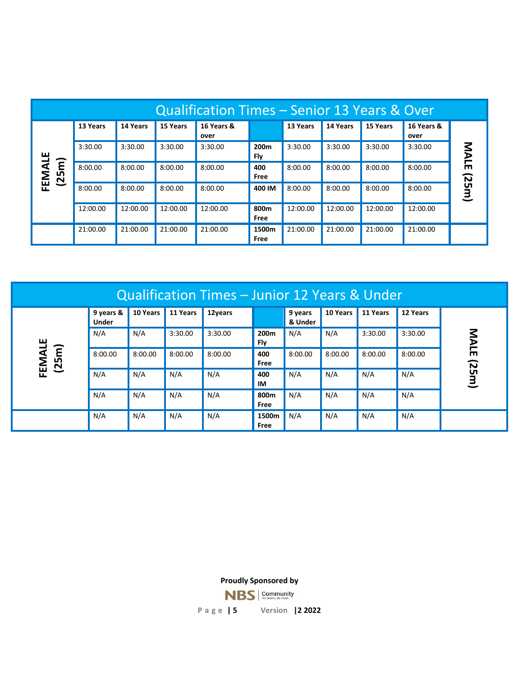| Qualification Times – Senior 13 Years & Over |          |          |          |                    |                         |          |          |          |                    |       |
|----------------------------------------------|----------|----------|----------|--------------------|-------------------------|----------|----------|----------|--------------------|-------|
|                                              | 13 Years | 14 Years | 15 Years | 16 Years &<br>over |                         | 13 Years | 14 Years | 15 Years | 16 Years &<br>over | MALE  |
| ш                                            | 3:30.00  | 3:30.00  | 3:30.00  | 3:30.00            | 200 <sub>m</sub><br>Fly | 3:30.00  | 3:30.00  | 3:30.00  | 3:30.00            |       |
| FEMAL<br>ឨ<br>(25)                           | 8:00.00  | 8:00.00  | 8:00.00  | 8:00.00            | 400<br>Free             | 8:00.00  | 8:00.00  | 8:00.00  | 8:00.00            |       |
|                                              | 8:00.00  | 8:00.00  | 8:00.00  | 8:00.00            | 400 IM                  | 8:00.00  | 8:00.00  | 8:00.00  | 8:00.00            | (25m) |
|                                              | 12:00.00 | 12:00.00 | 12:00.00 | 12:00.00           | 800m<br>Free            | 12:00.00 | 12:00.00 | 12:00.00 | 12:00.00           |       |
|                                              | 21:00.00 | 21:00.00 | 21:00.00 | 21:00.00           | 1500m<br>Free           | 21:00.00 | 21:00.00 | 21:00.00 | 21:00.00           |       |

| Qualification Times - Junior 12 Years & Under |                           |          |          |         |                         |                    |          |          |          |       |
|-----------------------------------------------|---------------------------|----------|----------|---------|-------------------------|--------------------|----------|----------|----------|-------|
| ш<br>FEMAL<br>$\mathbf{E}$<br>(25)            | 9 years &<br><b>Under</b> | 10 Years | 11 Years | 12years |                         | 9 years<br>& Under | 10 Years | 11 Years | 12 Years |       |
|                                               | N/A                       | N/A      | 3:30.00  | 3:30.00 | 200 <sub>m</sub><br>Fly | N/A                | N/A      | 3:30.00  | 3:30.00  | MALE  |
|                                               | 8:00.00                   | 8:00.00  | 8:00.00  | 8:00.00 | 400<br>Free             | 8:00.00            | 8:00.00  | 8:00.00  | 8:00.00  |       |
|                                               | N/A                       | N/A      | N/A      | N/A     | 400<br>IM               | N/A                | N/A      | N/A      | N/A      | (25m) |
|                                               | N/A                       | N/A      | N/A      | N/A     | 800m<br>Free            | N/A                | N/A      | N/A      | N/A      |       |
|                                               | N/A                       | N/A      | N/A      | N/A     | 1500m<br>Free           | N/A                | N/A      | N/A      | N/A      |       |

**Proudly Sponsored by**

**NBS** Community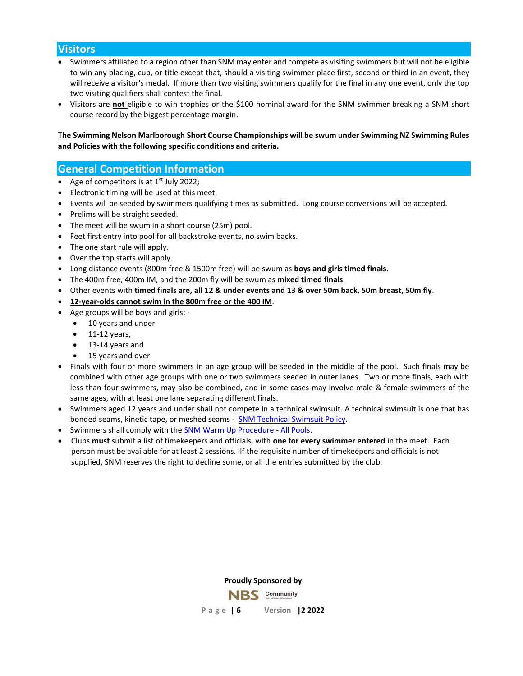## **Visitors**

- Swimmers affiliated to a region other than SNM may enter and compete as visiting swimmers but will not be eligible to win any placing, cup, or title except that, should a visiting swimmer place first, second or third in an event, they will receive a visitor's medal. If more than two visiting swimmers qualify for the final in any one event, only the top two visiting qualifiers shall contest the final.
- Visitors are **not** eligible to win trophies or the \$100 nominal award for the SNM swimmer breaking a SNM short course record by the biggest percentage margin.

**The Swimming Nelson Marlborough Short Course Championships will be swum under Swimming NZ Swimming Rules and Policies with the following specific conditions and criteria.**

### **General Competition Information**

- Age of competitors is at  $1<sup>st</sup>$  July 2022;
- Electronic timing will be used at this meet.
- Events will be seeded by swimmers qualifying times as submitted. Long course conversions will be accepted.
- Prelims will be straight seeded.
- The meet will be swum in a short course (25m) pool.
- Feet first entry into pool for all backstroke events, no swim backs.
- The one start rule will apply.
- Over the top starts will apply.
- Long distance events (800m free & 1500m free) will be swum as **boys and girls timed finals**.
- The 400m free, 400m IM, and the 200m fly will be swum as **mixed timed finals**.
- Other events with **timed finals are, all 12 & under events and 13 & over 50m back, 50m breast, 50m fly**.
- **12-year-olds cannot swim in the 800m free or the 400 IM**.
- Age groups will be boys and girls:
	- 10 years and under
	- $\bullet$  11-12 years,
	- 13-14 years and
	- 15 years and over.
- Finals with four or more swimmers in an age group will be seeded in the middle of the pool. Such finals may be combined with other age groups with one or two swimmers seeded in outer lanes. Two or more finals, each with less than four swimmers, may also be combined, and in some cases may involve male & female swimmers of the same ages, with at least one lane separating different finals.
- Swimmers aged 12 years and under shall not compete in a technical swimsuit. A technical swimsuit is one that has bonded seams, kinetic tape, or meshed seams - [SNM Technical Swimsuit Policy.](https://www.snm.org.nz/files/SNM_Tech_Suit_Policy-Nov2018.pdf)
- Swimmers shall comply with th[e SNM Warm Up Procedure -](https://www.snm.org.nz/files/Warmup_Procedures_for_All_Pools_in_NM_-June_2017.pdf) All Pools.
- Clubs **must** submit a list of timekeepers and officials, with **one for every swimmer entered** in the meet. Each person must be available for at least 2 sessions. If the requisite number of timekeepers and officials is not supplied, SNM reserves the right to decline some, or all the entries submitted by the club.

**Proudly Sponsored by**

**Community P a g e | 6 Version |2 2022**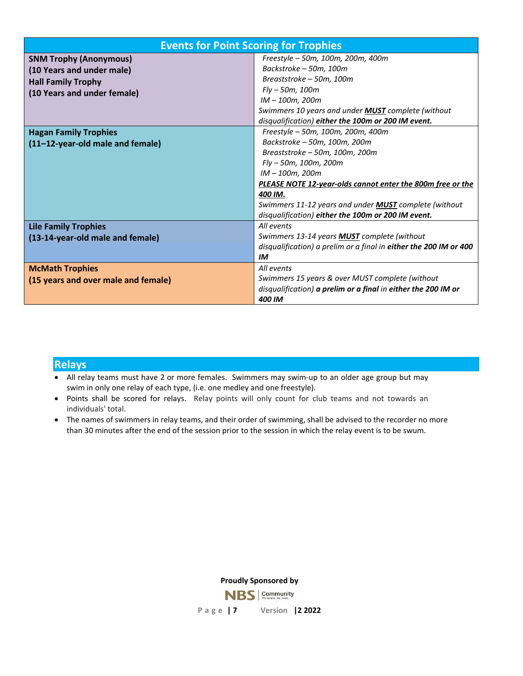| <b>Events for Point Scoring for Trophies</b>                                                                           |                                                                                                                                                                                                                                                                                                                                                |  |  |  |  |  |
|------------------------------------------------------------------------------------------------------------------------|------------------------------------------------------------------------------------------------------------------------------------------------------------------------------------------------------------------------------------------------------------------------------------------------------------------------------------------------|--|--|--|--|--|
| <b>SNM Trophy (Anonymous)</b><br>(10 Years and under male)<br><b>Hall Family Trophy</b><br>(10 Years and under female) | Freestyle - 50m, 100m, 200m, 400m<br>Backstroke - 50m, 100m<br>Breaststroke - 50m, 100m<br>$Fly - 50m, 100m$<br>IM - 100m, 200m                                                                                                                                                                                                                |  |  |  |  |  |
|                                                                                                                        | Swimmers 10 years and under <b>MUST</b> complete (without<br>disqualification) either the 100m or 200 IM event.                                                                                                                                                                                                                                |  |  |  |  |  |
| <b>Hagan Family Trophies</b><br>(11-12-year-old male and female)                                                       | Freestyle - 50m, 100m, 200m, 400m<br>Backstroke - 50m, 100m, 200m<br>Breaststroke - 50m, 100m, 200m<br>Fly - 50m, 100m, 200m<br>IM - 100m, 200m<br>PLEASE NOTE 12-year-olds cannot enter the 800m free or the<br>400 IM.<br>Swimmers 11-12 years and under <b>MUST</b> complete (without<br>disqualification) either the 100m or 200 IM event. |  |  |  |  |  |
| <b>Lile Family Trophies</b><br>(13-14-year-old male and female)                                                        | All events<br>Swimmers 13-14 years <b>MUST</b> complete (without<br>disqualification) a prelim or a final in either the 200 IM or 400<br>IM                                                                                                                                                                                                    |  |  |  |  |  |
| <b>McMath Trophies</b><br>(15 years and over male and female)                                                          | All events<br>Swimmers 15 years & over MUST complete (without<br>disqualification) a prelim or a final in either the 200 IM or<br>400 IM                                                                                                                                                                                                       |  |  |  |  |  |

## **Relays**

- All relay teams must have 2 or more females. Swimmers may swim-up to an older age group but may swim in only one relay of each type, (i.e. one medley and one freestyle).
- Points shall be scored for relays. Relay points will only count for club teams and not towards an individuals' total.
- The names of swimmers in relay teams, and their order of swimming, shall be advised to the recorder no more than 30 minutes after the end of the session prior to the session in which the relay event is to be swum.

**Proudly Sponsored by**

**NBS** Community

**P a g e | 7 Version |2 2022**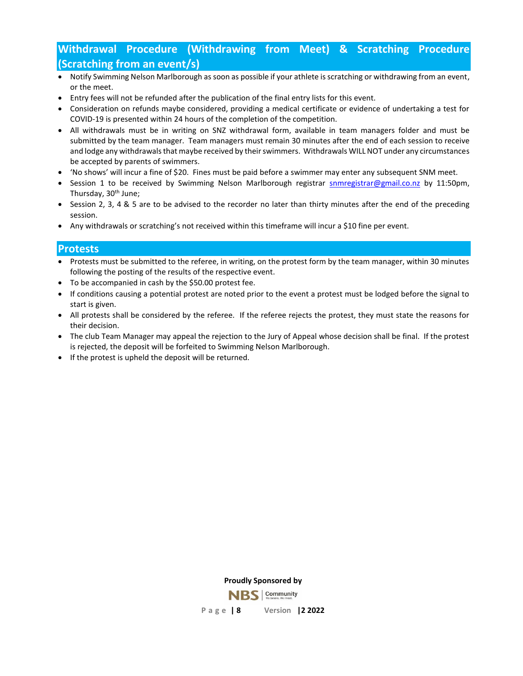# **Withdrawal Procedure (Withdrawing from Meet) & Scratching Procedure (Scratching from an event/s)**

- Notify Swimming Nelson Marlborough as soon as possible if your athlete is scratching or withdrawing from an event, or the meet.
- Entry fees will not be refunded after the publication of the final entry lists for this event.
- Consideration on refunds maybe considered, providing a medical certificate or evidence of undertaking a test for COVID-19 is presented within 24 hours of the completion of the competition.
- All withdrawals must be in writing on SNZ withdrawal form, available in team managers folder and must be submitted by the team manager. Team managers must remain 30 minutes after the end of each session to receive and lodge any withdrawals that maybe received by their swimmers. Withdrawals WILL NOT under any circumstances be accepted by parents of swimmers.
- 'No shows' will incur a fine of \$20. Fines must be paid before a swimmer may enter any subsequent SNM meet.
- Session 1 to be received by Swimming Nelson Marlborough registrar [snmregistrar@gmail.co.nz](mailto:snmregistrar@gmail.co.nz) by 11:50pm, Thursday, 30<sup>th</sup> June;
- Session 2, 3, 4 & 5 are to be advised to the recorder no later than thirty minutes after the end of the preceding session.
- Any withdrawals or scratching's not received within this timeframe will incur a \$10 fine per event.

### **Protests**

- Protests must be submitted to the referee, in writing, on the protest form by the team manager, within 30 minutes following the posting of the results of the respective event.
- To be accompanied in cash by the \$50.00 protest fee.
- If conditions causing a potential protest are noted prior to the event a protest must be lodged before the signal to start is given.
- All protests shall be considered by the referee. If the referee rejects the protest, they must state the reasons for their decision.
- The club Team Manager may appeal the rejection to the Jury of Appeal whose decision shall be final. If the protest is rejected, the deposit will be forfeited to Swimming Nelson Marlborough.
- If the protest is upheld the deposit will be returned.

**Proudly Sponsored by**

**Community P a g e | 8 Version |2 2022**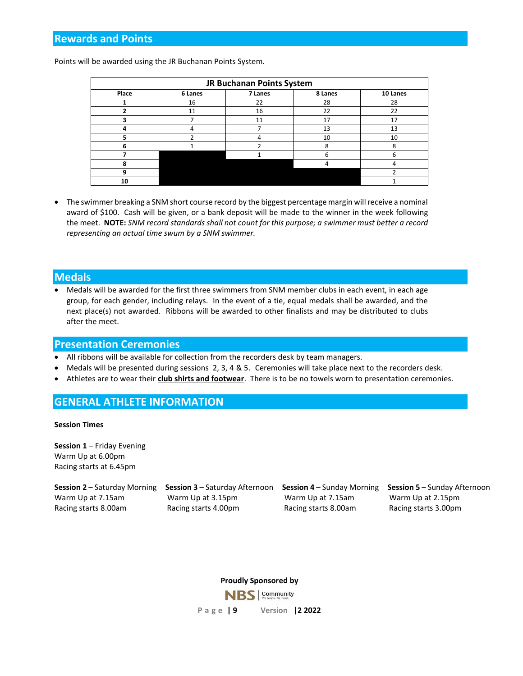## **Rewards and Points**

Points will be awarded using the JR Buchanan Points System.

| JR Buchanan Points System |         |         |         |          |  |  |  |  |
|---------------------------|---------|---------|---------|----------|--|--|--|--|
| Place                     | 6 Lanes | 7 Lanes | 8 Lanes | 10 Lanes |  |  |  |  |
|                           | 16      | 22      | 28      | 28       |  |  |  |  |
|                           | 11      | 16      | 22      | 22       |  |  |  |  |
| 3                         |         | 11      | 17      | 17       |  |  |  |  |
| 4                         | 4       |         | 13      | 13       |  |  |  |  |
| 5                         |         | 4       | 10      | 10       |  |  |  |  |
| 6                         |         |         | 8       | 8        |  |  |  |  |
|                           |         |         | 6       | 6        |  |  |  |  |
| 8                         |         |         | 4       |          |  |  |  |  |
| 9                         |         |         |         |          |  |  |  |  |
| 10                        |         |         |         |          |  |  |  |  |

• The swimmer breaking a SNM short course record by the biggest percentage margin will receive a nominal award of \$100. Cash will be given, or a bank deposit will be made to the winner in the week following the meet. **NOTE:** *SNM record standards shall not count for this purpose; a swimmer must better a record representing an actual time swum by a SNM swimmer.*

#### **Medals**

• Medals will be awarded for the first three swimmers from SNM member clubs in each event, in each age group, for each gender, including relays. In the event of a tie, equal medals shall be awarded, and the next place(s) not awarded. Ribbons will be awarded to other finalists and may be distributed to clubs after the meet.

#### **Presentation Ceremonies**

- All ribbons will be available for collection from the recorders desk by team managers.
- Medals will be presented during sessions 2, 3, 4 & 5. Ceremonies will take place next to the recorders desk.
- Athletes are to wear their **club shirts and footwear**. There is to be no towels worn to presentation ceremonies.

## **GENERAL ATHLETE INFORMATION**

#### **Session Times**

**Session 1** – Friday Evening Warm Up at 6.00pm Racing starts at 6.45pm

**Session 2** – Saturday Morning **Session 3** – Saturday Afternoon **Session 4** – Sunday Morning **Session 5** – Sunday Afternoon Warm Up at 7.15am Warm Up at 3.15pm Warm Up at 7.15am Warm Up at 2.15pm Racing starts 8.00am Racing starts 4.00pm Racing starts 8.00am Racing starts 3.00pm

**Proudly Sponsored by**

Community NBS I **P a g e | 9 Version |2 2022**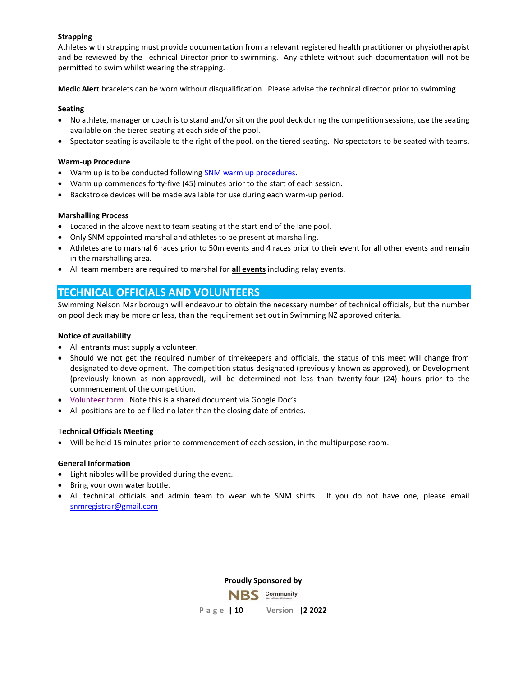#### **Strapping**

Athletes with strapping must provide documentation from a relevant registered health practitioner or physiotherapist and be reviewed by the Technical Director prior to swimming. Any athlete without such documentation will not be permitted to swim whilst wearing the strapping.

**Medic Alert** bracelets can be worn without disqualification. Please advise the technical director prior to swimming.

#### **Seating**

- No athlete, manager or coach is to stand and/or sit on the pool deck during the competition sessions, use the seating available on the tiered seating at each side of the pool.
- Spectator seating is available to the right of the pool, on the tiered seating. No spectators to be seated with teams.

#### **Warm-up Procedure**

- Warm up is to be conducted followin[g SNM warm up procedures.](https://www.snm.org.nz/files/Warmup_Procedures_for_All_Pools_in_NM_-June_2017.pdf)
- Warm up commences forty-five (45) minutes prior to the start of each session.
- Backstroke devices will be made available for use during each warm-up period.

#### **Marshalling Process**

- Located in the alcove next to team seating at the start end of the lane pool.
- Only SNM appointed marshal and athletes to be present at marshalling.
- Athletes are to marshal 6 races prior to 50m events and 4 races prior to their event for all other events and remain in the marshalling area.
- All team members are required to marshal for **all events** including relay events.

## **TECHNICAL OFFICIALS AND VOLUNTEERS**

Swimming Nelson Marlborough will endeavour to obtain the necessary number of technical officials, but the number on pool deck may be more or less, than the requirement set out in Swimming NZ approved criteria.

#### **Notice of availability**

- All entrants must supply a volunteer.
- Should we not get the required number of timekeepers and officials, the status of this meet will change from designated to development. The competition status designated (previously known as approved), or Development (previously known as non-approved), will be determined not less than twenty-four (24) hours prior to the commencement of the competition.
- [Volunteer form.](https://docs.google.com/forms/d/e/1FAIpQLSf8Th40yZ1rP7f-Hjq-jbokQ_rvIUjo7MvXbzHgv3wmA96Cgw/viewform?usp=pp_url) Note this is a shared document via Google Doc's.
- All positions are to be filled no later than the closing date of entries.

#### **Technical Officials Meeting**

• Will be held 15 minutes prior to commencement of each session, in the multipurpose room.

#### **General Information**

- Light nibbles will be provided during the event.
- Bring your own water bottle.
- All technical officials and admin team to wear white SNM shirts. If you do not have one, please email [snmregistrar@gmail.com](mailto:snmregistrar@gmail.com)

**Proudly Sponsored by**

Community

**P a g e | 10 Version |2 2022**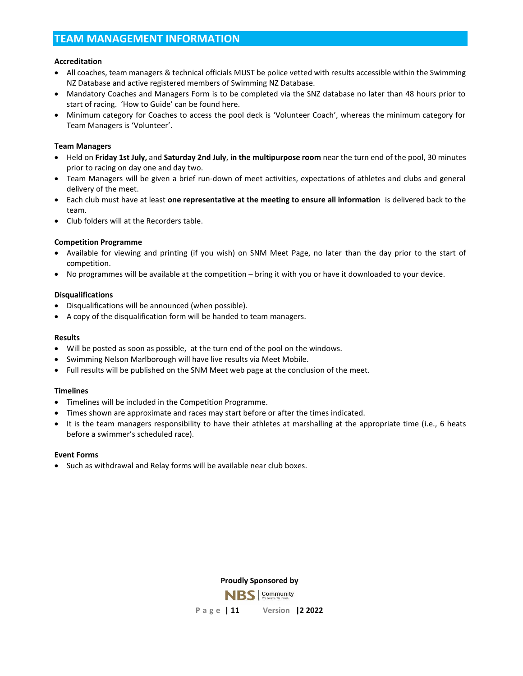## **TEAM MANAGEMENT INFORMATION**

#### **Accreditation**

- All coaches, team managers & technical officials MUST be police vetted with results accessible within the Swimming NZ Database and active registered members of Swimming NZ Database.
- Mandatory Coaches and Managers Form is to be completed via the SNZ database no later than 48 hours prior to start of racing. 'How to Guide' can be found here.
- Minimum category for Coaches to access the pool deck is 'Volunteer Coach', whereas the minimum category for Team Managers is 'Volunteer'.

#### **Team Managers**

- Held on **Friday 1st July,** and **Saturday 2nd July**, **in the multipurpose room** near the turn end of the pool, 30 minutes prior to racing on day one and day two.
- Team Managers will be given a brief run-down of meet activities, expectations of athletes and clubs and general delivery of the meet.
- Each club must have at least **one representative at the meeting to ensure all information** is delivered back to the team.
- Club folders will at the Recorders table.

#### **Competition Programme**

- Available for viewing and printing (if you wish) on SNM Meet Page, no later than the day prior to the start of competition.
- No programmes will be available at the competition bring it with you or have it downloaded to your device.

#### **Disqualifications**

- Disqualifications will be announced (when possible).
- A copy of the disqualification form will be handed to team managers.

#### **Results**

- Will be posted as soon as possible, at the turn end of the pool on the windows.
- Swimming Nelson Marlborough will have live results via Meet Mobile.
- Full results will be published on the SNM Meet web page at the conclusion of the meet.

#### **Timelines**

- Timelines will be included in the Competition Programme.
- Times shown are approximate and races may start before or after the times indicated.
- It is the team managers responsibility to have their athletes at marshalling at the appropriate time (i.e., 6 heats before a swimmer's scheduled race).

#### **Event Forms**

• Such as withdrawal and Relay forms will be available near club boxes.

**Proudly Sponsored by**

Community

**P a g e | 11 Version |2 2022**